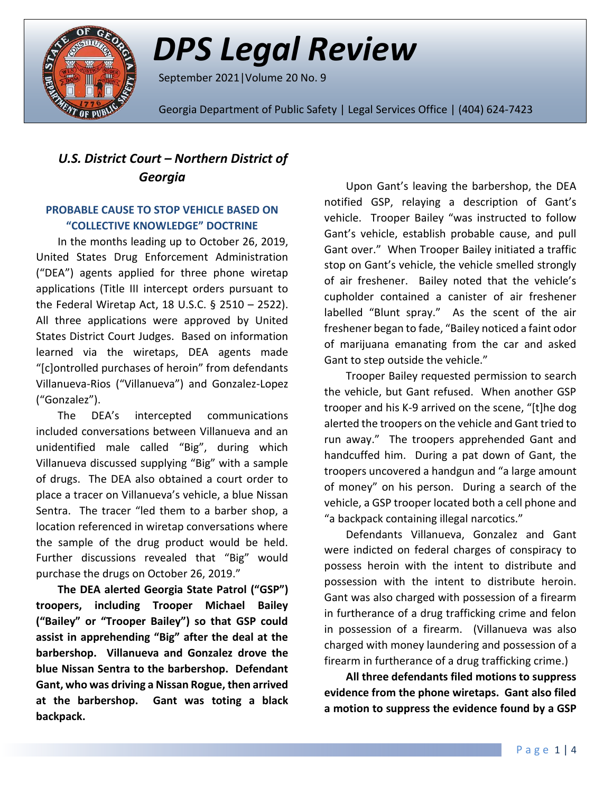

# *DPS Legal Review*

September 2021|Volume 20 No. 9

Georgia Department of Public Safety | Legal Services Office | (404) 624-7423

# *U.S. District Court – Northern District of Georgia*

### **PROBABLE CAUSE TO STOP VEHICLE BASED ON "COLLECTIVE KNOWLEDGE" DOCTRINE**

In the months leading up to October 26, 2019, United States Drug Enforcement Administration ("DEA") agents applied for three phone wiretap applications (Title III intercept orders pursuant to the Federal Wiretap Act, 18 U.S.C. § 2510 – 2522). All three applications were approved by United States District Court Judges. Based on information learned via the wiretaps, DEA agents made "[c]ontrolled purchases of heroin" from defendants Villanueva-Rios ("Villanueva") and Gonzalez-Lopez ("Gonzalez").

The DEA's intercepted communications included conversations between Villanueva and an unidentified male called "Big", during which Villanueva discussed supplying "Big" with a sample of drugs. The DEA also obtained a court order to place a tracer on Villanueva's vehicle, a blue Nissan Sentra. The tracer "led them to a barber shop, a location referenced in wiretap conversations where the sample of the drug product would be held. Further discussions revealed that "Big" would purchase the drugs on October 26, 2019."

**The DEA alerted Georgia State Patrol ("GSP") troopers, including Trooper Michael Bailey ("Bailey" or "Trooper Bailey") so that GSP could assist in apprehending "Big" after the deal at the barbershop. Villanueva and Gonzalez drove the blue Nissan Sentra to the barbershop. Defendant Gant, who was driving a Nissan Rogue, then arrived at the barbershop. Gant was toting a black backpack.**

Upon Gant's leaving the barbershop, the DEA notified GSP, relaying a description of Gant's vehicle. Trooper Bailey "was instructed to follow Gant's vehicle, establish probable cause, and pull Gant over." When Trooper Bailey initiated a traffic stop on Gant's vehicle, the vehicle smelled strongly of air freshener. Bailey noted that the vehicle's cupholder contained a canister of air freshener labelled "Blunt spray." As the scent of the air freshener began to fade, "Bailey noticed a faint odor of marijuana emanating from the car and asked Gant to step outside the vehicle."

Trooper Bailey requested permission to search the vehicle, but Gant refused. When another GSP trooper and his K-9 arrived on the scene, "[t]he dog alerted the troopers on the vehicle and Gant tried to run away." The troopers apprehended Gant and handcuffed him. During a pat down of Gant, the troopers uncovered a handgun and "a large amount of money" on his person. During a search of the vehicle, a GSP trooper located both a cell phone and "a backpack containing illegal narcotics."

Defendants Villanueva, Gonzalez and Gant were indicted on federal charges of conspiracy to possess heroin with the intent to distribute and possession with the intent to distribute heroin. Gant was also charged with possession of a firearm in furtherance of a drug trafficking crime and felon in possession of a firearm. (Villanueva was also charged with money laundering and possession of a firearm in furtherance of a drug trafficking crime.)

**All three defendants filed motions to suppress evidence from the phone wiretaps. Gant also filed a motion to suppress the evidence found by a GSP**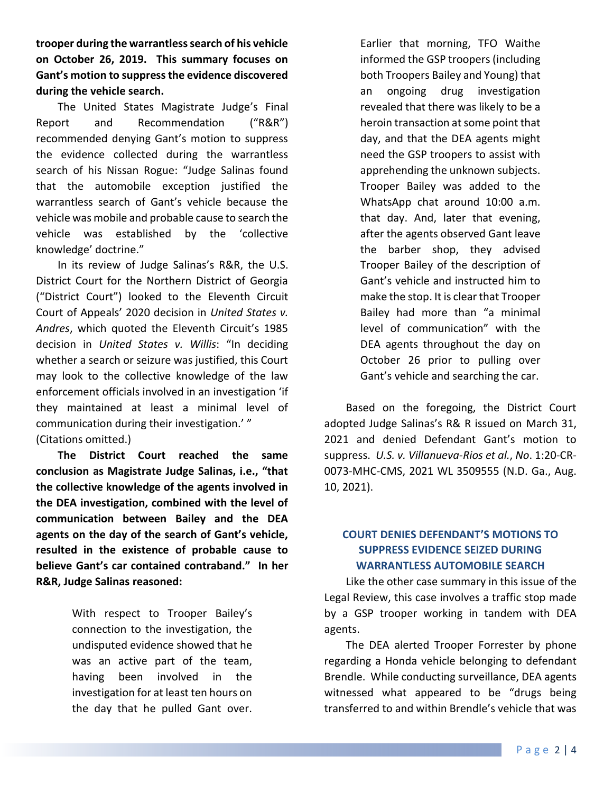**trooper during the warrantless search of his vehicle on October 26, 2019. This summary focuses on Gant's motion to suppress the evidence discovered during the vehicle search.**

The United States Magistrate Judge's Final Report and Recommendation ("R&R") recommended denying Gant's motion to suppress the evidence collected during the warrantless search of his Nissan Rogue: "Judge Salinas found that the automobile exception justified the warrantless search of Gant's vehicle because the vehicle was mobile and probable cause to search the vehicle was established by the 'collective knowledge' doctrine."

In its review of Judge Salinas's R&R, the U.S. District Court for the Northern District of Georgia ("District Court") looked to the Eleventh Circuit Court of Appeals' 2020 decision in *United States v. Andres*, which quoted the Eleventh Circuit's 1985 decision in *United States v. Willis*: "In deciding whether a search or seizure was justified, this Court may look to the collective knowledge of the law enforcement officials involved in an investigation 'if they maintained at least a minimal level of communication during their investigation.' " (Citations omitted.)

**The District Court reached the same conclusion as Magistrate Judge Salinas, i.e., "that the collective knowledge of the agents involved in the DEA investigation, combined with the level of communication between Bailey and the DEA agents on the day of the search of Gant's vehicle, resulted in the existence of probable cause to believe Gant's car contained contraband." In her R&R, Judge Salinas reasoned:**

> With respect to Trooper Bailey's connection to the investigation, the undisputed evidence showed that he was an active part of the team, having been involved in the investigation for at least ten hours on the day that he pulled Gant over.

Earlier that morning, TFO Waithe informed the GSP troopers (including both Troopers Bailey and Young) that an ongoing drug investigation revealed that there was likely to be a heroin transaction at some point that day, and that the DEA agents might need the GSP troopers to assist with apprehending the unknown subjects. Trooper Bailey was added to the WhatsApp chat around 10:00 a.m. that day. And, later that evening, after the agents observed Gant leave the barber shop, they advised Trooper Bailey of the description of Gant's vehicle and instructed him to make the stop. It is clear that Trooper Bailey had more than "a minimal level of communication" with the DEA agents throughout the day on October 26 prior to pulling over Gant's vehicle and searching the car.

Based on the foregoing, the District Court adopted Judge Salinas's R& R issued on March 31, 2021 and denied Defendant Gant's motion to suppress. *U.S. v. Villanueva-Rios et al.*, *No*. 1:20-CR-0073-MHC-CMS, 2021 WL 3509555 (N.D. Ga., Aug. 10, 2021).

## **COURT DENIES DEFENDANT'S MOTIONS TO SUPPRESS EVIDENCE SEIZED DURING WARRANTLESS AUTOMOBILE SEARCH**

Like the other case summary in this issue of the Legal Review, this case involves a traffic stop made by a GSP trooper working in tandem with DEA agents.

The DEA alerted Trooper Forrester by phone regarding a Honda vehicle belonging to defendant Brendle. While conducting surveillance, DEA agents witnessed what appeared to be "drugs being transferred to and within Brendle's vehicle that was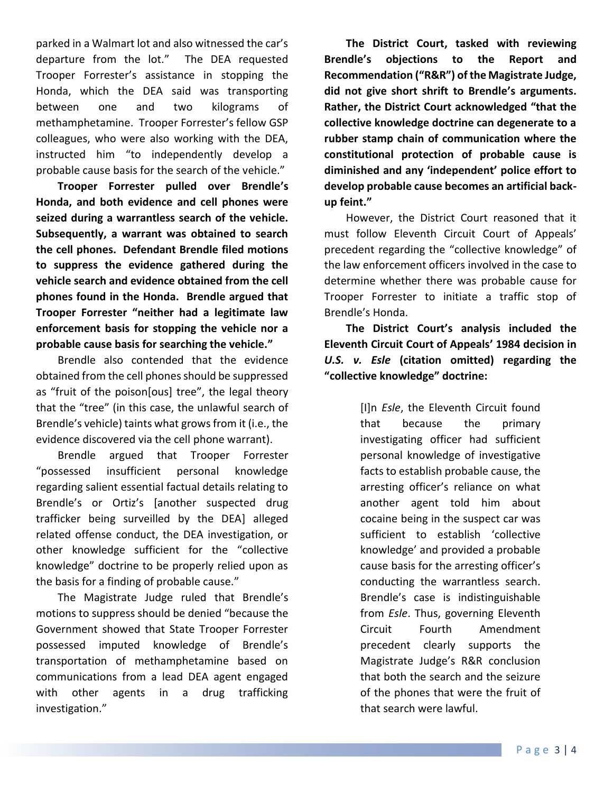parked in a Walmart lot and also witnessed the car's departure from the lot." The DEA requested Trooper Forrester's assistance in stopping the Honda, which the DEA said was transporting between one and two kilograms of methamphetamine. Trooper Forrester's fellow GSP colleagues, who were also working with the DEA, instructed him "to independently develop a probable cause basis for the search of the vehicle."

**Trooper Forrester pulled over Brendle's Honda, and both evidence and cell phones were seized during a warrantless search of the vehicle. Subsequently, a warrant was obtained to search the cell phones. Defendant Brendle filed motions to suppress the evidence gathered during the vehicle search and evidence obtained from the cell phones found in the Honda. Brendle argued that Trooper Forrester "neither had a legitimate law enforcement basis for stopping the vehicle nor a probable cause basis for searching the vehicle."**

Brendle also contended that the evidence obtained from the cell phones should be suppressed as "fruit of the poison[ous] tree", the legal theory that the "tree" (in this case, the unlawful search of Brendle's vehicle) taints what grows from it (i.e., the evidence discovered via the cell phone warrant).

Brendle argued that Trooper Forrester "possessed insufficient personal knowledge regarding salient essential factual details relating to Brendle's or Ortiz's [another suspected drug trafficker being surveilled by the DEA] alleged related offense conduct, the DEA investigation, or other knowledge sufficient for the "collective knowledge" doctrine to be properly relied upon as the basis for a finding of probable cause."

The Magistrate Judge ruled that Brendle's motions to suppress should be denied "because the Government showed that State Trooper Forrester possessed imputed knowledge of Brendle's transportation of methamphetamine based on communications from a lead DEA agent engaged with other agents in a drug trafficking investigation."

**The District Court, tasked with reviewing Brendle's objections to the Report and Recommendation ("R&R") of the Magistrate Judge, did not give short shrift to Brendle's arguments. Rather, the District Court acknowledged "that the collective knowledge doctrine can degenerate to a rubber stamp chain of communication where the constitutional protection of probable cause is diminished and any 'independent' police effort to develop probable cause becomes an artificial backup feint."**

However, the District Court reasoned that it must follow Eleventh Circuit Court of Appeals' precedent regarding the "collective knowledge" of the law enforcement officers involved in the case to determine whether there was probable cause for Trooper Forrester to initiate a traffic stop of Brendle's Honda.

**The District Court's analysis included the Eleventh Circuit Court of Appeals' 1984 decision in**  *U.S. v. Esle* **(citation omitted) regarding the "collective knowledge" doctrine:** 

> [I]n *Esle*, the Eleventh Circuit found that because the primary investigating officer had sufficient personal knowledge of investigative facts to establish probable cause, the arresting officer's reliance on what another agent told him about cocaine being in the suspect car was sufficient to establish 'collective knowledge' and provided a probable cause basis for the arresting officer's conducting the warrantless search. Brendle's case is indistinguishable from *Esle*. Thus, governing Eleventh Circuit Fourth Amendment precedent clearly supports the Magistrate Judge's R&R conclusion that both the search and the seizure of the phones that were the fruit of that search were lawful.